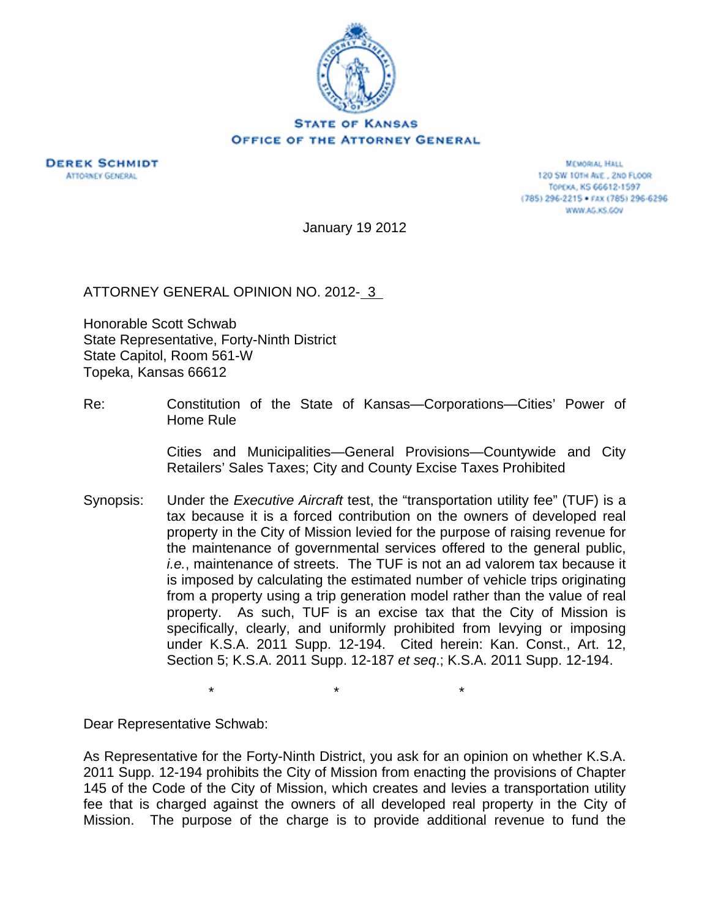

**DEREK SCHMIDT ATTORNEY GENERAL** 

MEMORAL HALL 120 SW 101H AVE., 2ND FLOOR TOPEKA, KS 66612-1597 (785) 296-2215 · FAX (785) 296-6296 WWW.AG.KS.GOV

January 19 2012

ATTORNEY GENERAL OPINION NO. 2012-13

Honorable Scott Schwab State Representative, Forty-Ninth District State Capitol, Room 561-W Topeka, Kansas 66612

Re: Constitution of the State of Kansas—Corporations—Cities' Power of Home Rule

> Cities and Municipalities—General Provisions—Countywide and City Retailers' Sales Taxes; City and County Excise Taxes Prohibited

Synopsis: Under the *Executive Aircraft* test, the "transportation utility fee" (TUF) is a tax because it is a forced contribution on the owners of developed real property in the City of Mission levied for the purpose of raising revenue for the maintenance of governmental services offered to the general public, *i.e.*, maintenance of streets. The TUF is not an ad valorem tax because it is imposed by calculating the estimated number of vehicle trips originating from a property using a trip generation model rather than the value of real property. As such, TUF is an excise tax that the City of Mission is specifically, clearly, and uniformly prohibited from levying or imposing under K.S.A. 2011 Supp. 12-194. Cited herein: Kan. Const., Art. 12, Section 5; K.S.A. 2011 Supp. 12-187 *et seq*.; K.S.A. 2011 Supp. 12-194.

 $\star$   $\star$   $\star$ 

Dear Representative Schwab:

As Representative for the Forty-Ninth District, you ask for an opinion on whether K.S.A. 2011 Supp. 12-194 prohibits the City of Mission from enacting the provisions of Chapter 145 of the Code of the City of Mission, which creates and levies a transportation utility fee that is charged against the owners of all developed real property in the City of Mission. The purpose of the charge is to provide additional revenue to fund the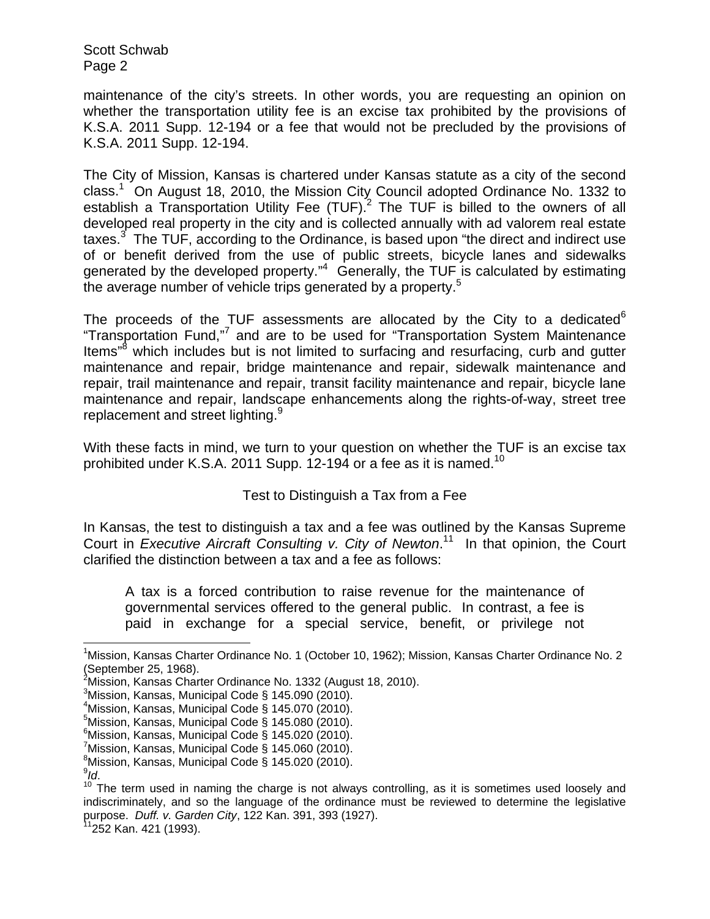maintenance of the city's streets. In other words, you are requesting an opinion on whether the transportation utility fee is an excise tax prohibited by the provisions of K.S.A. 2011 Supp. 12-194 or a fee that would not be precluded by the provisions of K.S.A. 2011 Supp. 12-194.

The City of Mission, Kansas is chartered under Kansas statute as a city of the second class.<sup>1</sup> On August 18, 2010, the Mission City Council adopted Ordinance No. 1332 to establish a Transportation Utility Fee  $(TUF)^2$  The TUF is billed to the owners of all developed real property in the city and is collected annually with ad valorem real estate taxes. $3$  The TUF, according to the Ordinance, is based upon "the direct and indirect use of or benefit derived from the use of public streets, bicycle lanes and sidewalks generated by the developed property."<sup>4</sup> Generally, the TUF is calculated by estimating the average number of vehicle trips generated by a property.<sup>5</sup>

The proceeds of the TUF assessments are allocated by the City to a dedicated  $6$ "Transportation Fund,"<sup>7</sup> and are to be used for "Transportation System Maintenance Items"<sup>8</sup> which includes but is not limited to surfacing and resurfacing, curb and gutter maintenance and repair, bridge maintenance and repair, sidewalk maintenance and repair, trail maintenance and repair, transit facility maintenance and repair, bicycle lane maintenance and repair, landscape enhancements along the rights-of-way, street tree replacement and street lighting.<sup>9</sup>

With these facts in mind, we turn to your question on whether the TUF is an excise tax prohibited under K.S.A. 2011 Supp. 12-194 or a fee as it is named.<sup>10</sup>

## Test to Distinguish a Tax from a Fee

In Kansas, the test to distinguish a tax and a fee was outlined by the Kansas Supreme Court in *Executive Aircraft Consulting v. City of Newton*. 11 In that opinion, the Court clarified the distinction between a tax and a fee as follows:

A tax is a forced contribution to raise revenue for the maintenance of governmental services offered to the general public. In contrast, a fee is paid in exchange for a special service, benefit, or privilege not

 $\overline{a}$ 

<sup>&</sup>lt;sup>1</sup>Mission, Kansas Charter Ordinance No. 1 (October 10, 1962); Mission, Kansas Charter Ordinance No. 2

<sup>(</sup>September 25, 1968). 2 Mission, Kansas Charter Ordinance No. 1332 (August 18, 2010).

 $^3$ Mission, Kansas, Municipal Code § 145.090 (2010).

<sup>4</sup> Mission, Kansas, Municipal Code § 145.070 (2010).

 $5$ Mission, Kansas, Municipal Code § 145.080 (2010).

 $6$ Mission, Kansas, Municipal Code § 145.020 (2010).

 $^7$ Mission, Kansas, Municipal Code § 145.060 (2010).

 ${}^{8}$ Mission, Kansas, Municipal Code § 145.020 (2010).

 $9$ ld.

<sup>&</sup>lt;sup>10</sup> The term used in naming the charge is not always controlling, as it is sometimes used loosely and indiscriminately, and so the language of the ordinance must be reviewed to determine the legislative purpose. *Duff. v. Garden City*, 122 Kan. 391, 393 (1927).<br><sup>11</sup>252 Kan. 421 (1993).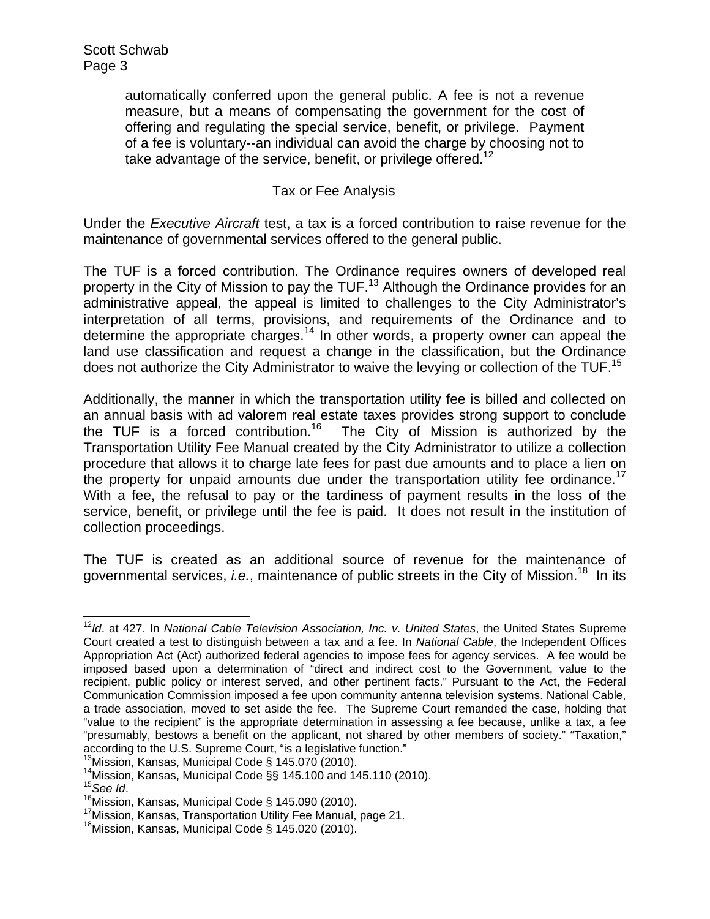automatically conferred upon the general public. A fee is not a revenue measure, but a means of compensating the government for the cost of offering and regulating the special service, benefit, or privilege. Payment of a fee is voluntary--an individual can avoid the charge by choosing not to take advantage of the service, benefit, or privilege offered.<sup>12</sup>

## Tax or Fee Analysis

Under the *Executive Aircraft* test, a tax is a forced contribution to raise revenue for the maintenance of governmental services offered to the general public.

The TUF is a forced contribution. The Ordinance requires owners of developed real property in the City of Mission to pay the TUF.<sup>13</sup> Although the Ordinance provides for an administrative appeal, the appeal is limited to challenges to the City Administrator's interpretation of all terms, provisions, and requirements of the Ordinance and to determine the appropriate charges.<sup>14</sup> In other words, a property owner can appeal the land use classification and request a change in the classification, but the Ordinance does not authorize the City Administrator to waive the levying or collection of the TUF.<sup>15</sup>

Additionally, the manner in which the transportation utility fee is billed and collected on an annual basis with ad valorem real estate taxes provides strong support to conclude the TUF is a forced contribution.<sup>16</sup> The City of Mission is authorized by the Transportation Utility Fee Manual created by the City Administrator to utilize a collection procedure that allows it to charge late fees for past due amounts and to place a lien on the property for unpaid amounts due under the transportation utility fee ordinance.<sup>17</sup> With a fee, the refusal to pay or the tardiness of payment results in the loss of the service, benefit, or privilege until the fee is paid. It does not result in the institution of collection proceedings.

The TUF is created as an additional source of revenue for the maintenance of governmental services, *i.e.*, maintenance of public streets in the City of Mission.18 In its

 $\overline{a}$ <sup>12</sup>*Id*. at 427. In *National Cable Television Association, Inc. v. United States*, the United States Supreme Court created a test to distinguish between a tax and a fee. In *National Cable*, the Independent Offices Appropriation Act (Act) authorized federal agencies to impose fees for agency services. A fee would be imposed based upon a determination of "direct and indirect cost to the Government, value to the recipient, public policy or interest served, and other pertinent facts." Pursuant to the Act, the Federal Communication Commission imposed a fee upon community antenna television systems. National Cable, a trade association, moved to set aside the fee. The Supreme Court remanded the case, holding that "value to the recipient" is the appropriate determination in assessing a fee because, unlike a tax, a fee "presumably, bestows a benefit on the applicant, not shared by other members of society." "Taxation,"<br>according to the U.S. Supreme Court, "is a legislative function."

<sup>&</sup>lt;sup>13</sup>Mission, Kansas, Municipal Code § 145.070 (2010).<br><sup>14</sup>Mission, Kansas, Municipal Code §§ 145.100 and 145.110 (2010).<br><sup>15</sup>See Id.<br><sup>16</sup>Mission, Kansas, Municipal Code § 145.090 (2010).<br><sup>17</sup>Mission, Kansas, Transportatio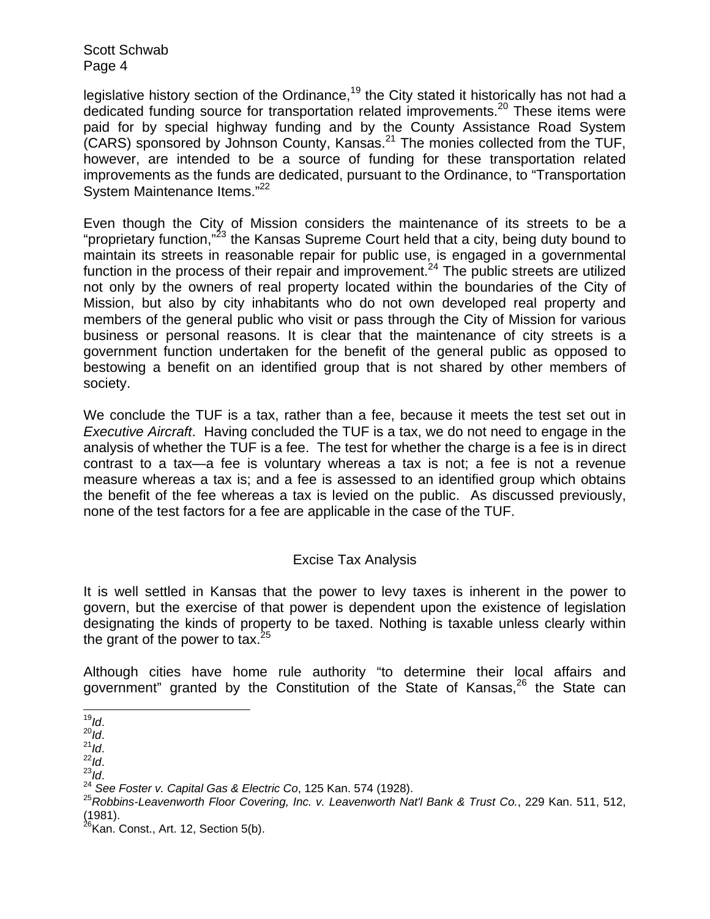legislative history section of the Ordinance,<sup>19</sup> the City stated it historically has not had a dedicated funding source for transportation related improvements.<sup>20</sup> These items were paid for by special highway funding and by the County Assistance Road System (CARS) sponsored by Johnson County, Kansas.21 The monies collected from the TUF, however, are intended to be a source of funding for these transportation related improvements as the funds are dedicated, pursuant to the Ordinance, to "Transportation System Maintenance Items."<sup>22</sup>

Even though the City of Mission considers the maintenance of its streets to be a "proprietary function,"<sup>23</sup> the Kansas Supreme Court held that a city, being duty bound to maintain its streets in reasonable repair for public use, is engaged in a governmental function in the process of their repair and improvement.<sup>24</sup> The public streets are utilized not only by the owners of real property located within the boundaries of the City of Mission, but also by city inhabitants who do not own developed real property and members of the general public who visit or pass through the City of Mission for various business or personal reasons. It is clear that the maintenance of city streets is a government function undertaken for the benefit of the general public as opposed to bestowing a benefit on an identified group that is not shared by other members of society.

We conclude the TUF is a tax, rather than a fee, because it meets the test set out in *Executive Aircraft*. Having concluded the TUF is a tax, we do not need to engage in the analysis of whether the TUF is a fee. The test for whether the charge is a fee is in direct contrast to a tax—a fee is voluntary whereas a tax is not; a fee is not a revenue measure whereas a tax is; and a fee is assessed to an identified group which obtains the benefit of the fee whereas a tax is levied on the public. As discussed previously, none of the test factors for a fee are applicable in the case of the TUF.

## Excise Tax Analysis

It is well settled in Kansas that the power to levy taxes is inherent in the power to govern, but the exercise of that power is dependent upon the existence of legislation designating the kinds of property to be taxed. Nothing is taxable unless clearly within the grant of the power to tax.  $25$ 

Although cities have home rule authority "to determine their local affairs and government" granted by the Constitution of the State of Kansas, $26$  the State can

 $19/19$ .

<sup>&</sup>lt;sup>20</sup>ld.<br><sup>21</sup>ld.<br><sup>22</sup>ld.<br><sup>24</sup> See Foster v. Capital Gas & Electric Co, 125 Kan. 574 (1928).<br><sup>24</sup> See Foster v. Capital Gas & Electric Co, 125 Kan. 574 (1928).<br><sup>25</sup> Robbins-Leavenworth Floor Covering, Inc. v. Leavenworth Nat (1981).

 $^{26}$ Kan. Const., Art. 12, Section 5(b).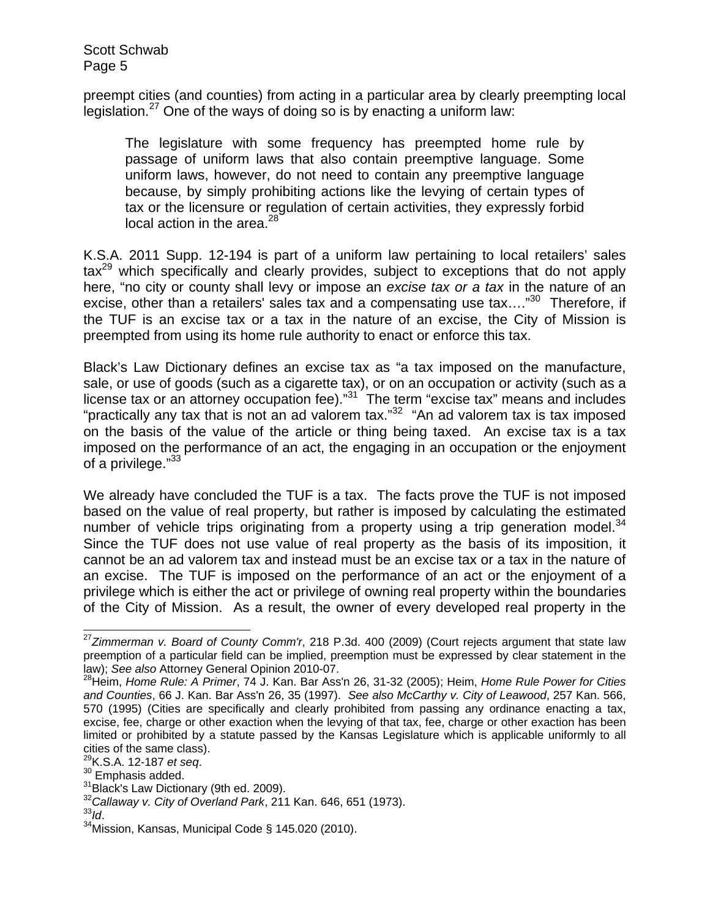preempt cities (and counties) from acting in a particular area by clearly preempting local legislation.<sup>27</sup> One of the ways of doing so is by enacting a uniform law:

The legislature with some frequency has preempted home rule by passage of uniform laws that also contain preemptive language. Some uniform laws, however, do not need to contain any preemptive language because, by simply prohibiting actions like the levying of certain types of tax or the licensure or regulation of certain activities, they expressly forbid local action in the area. $^{28}$ 

K.S.A. 2011 Supp. 12-194 is part of a uniform law pertaining to local retailers' sales  $\text{tax}^{29}$  which specifically and clearly provides, subject to exceptions that do not apply here, "no city or county shall levy or impose an *excise tax or a tax* in the nature of an excise, other than a retailers' sales tax and a compensating use tax.... $n^{30}$  Therefore, if the TUF is an excise tax or a tax in the nature of an excise, the City of Mission is preempted from using its home rule authority to enact or enforce this tax.

Black's Law Dictionary defines an excise tax as "a tax imposed on the manufacture, sale, or use of goods (such as a cigarette tax), or on an occupation or activity (such as a license tax or an attorney occupation fee)."<sup>31</sup> The term "excise tax" means and includes "practically any tax that is not an ad valorem tax." $32$  "An ad valorem tax is tax imposed on the basis of the value of the article or thing being taxed. An excise tax is a tax imposed on the performance of an act, the engaging in an occupation or the enjoyment of a privilege."<sup>33</sup>

We already have concluded the TUF is a tax. The facts prove the TUF is not imposed based on the value of real property, but rather is imposed by calculating the estimated number of vehicle trips originating from a property using a trip generation model.<sup>34</sup> Since the TUF does not use value of real property as the basis of its imposition, it cannot be an ad valorem tax and instead must be an excise tax or a tax in the nature of an excise. The TUF is imposed on the performance of an act or the enjoyment of a privilege which is either the act or privilege of owning real property within the boundaries of the City of Mission. As a result, the owner of every developed real property in the

 $\overline{\phantom{a}}$ 

<sup>27</sup>*Zimmerman v. Board of County Comm'r*, 218 P.3d. 400 (2009) (Court rejects argument that state law preemption of a particular field can be implied, preemption must be expressed by clear statement in the law); *See also* Attorney General Opinion 2010-07.<br><sup>28</sup>Heim, *Home Rule: A Primer*, 74 J. Kan. Bar Ass'n 26, 31-32 (2005); Heim, *Home Rule Power for Cities i* 

*and Counties*, 66 J. Kan. Bar Ass'n 26, 35 (1997). *See also McCarthy v. City of Leawood*, 257 Kan. 566, 570 (1995) (Cities are specifically and clearly prohibited from passing any ordinance enacting a tax, excise, fee, charge or other exaction when the levying of that tax, fee, charge or other exaction has been limited or prohibited by a statute passed by the Kansas Legislature which is applicable uniformly to all cities of the same class).<br> $^{29}$ K.S.A. 12-187 *et seq.* 

<sup>&</sup>lt;sup>30</sup> Emphasis added.<br><sup>31</sup>Black's Law Dictionary (9th ed. 2009).<br><sup>32</sup>Callaway v. City of Overland Park, 211 Kan. 646, 651 (1973).<br><sup>33</sup>ld.<br><sup>34</sup>Mission, Kansas, Municipal Code § 145.020 (2010).